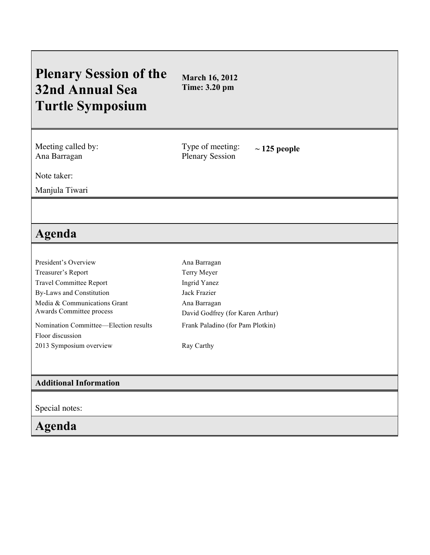## **Plenary Session of the 32nd Annual Sea Turtle Symposium**

**March 16, 2012 Time: 3.20 pm**

Meeting called by: Ana Barragan

Type of meeting: Plenary Session

**~ 125 people**

Note taker:

Manjula Tiwari

## **Agenda**

| President's Overview                  | Ana Barragan                     |
|---------------------------------------|----------------------------------|
| Treasurer's Report                    | Terry Meyer                      |
| <b>Travel Committee Report</b>        | Ingrid Yanez                     |
| By-Laws and Constitution              | Jack Frazier                     |
| Media & Communications Grant          | Ana Barragan                     |
| Awards Committee process              | David Godfrey (for Karen Arthur) |
| Nomination Committee—Election results | Frank Paladino (for Pam Plotkin) |
| Floor discussion                      |                                  |
| 2013 Symposium overview               | Ray Carthy                       |
|                                       |                                  |
|                                       |                                  |

## **Additional Information**

Special notes:

**Agenda**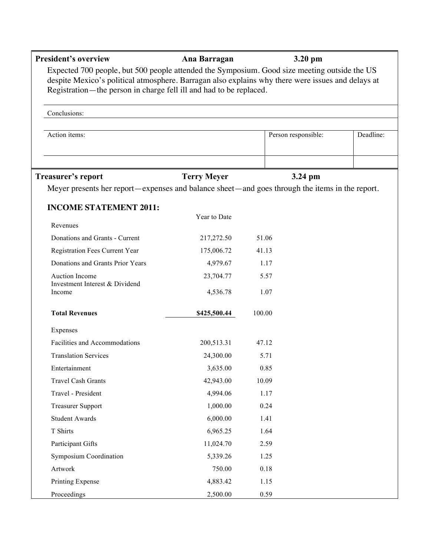| <b>President's overview</b>                                                                                                                                                                                                                                             | Ana Barragan       | 3.20 pm             |           |
|-------------------------------------------------------------------------------------------------------------------------------------------------------------------------------------------------------------------------------------------------------------------------|--------------------|---------------------|-----------|
| Expected 700 people, but 500 people attended the Symposium. Good size meeting outside the US<br>despite Mexico's political atmosphere. Barragan also explains why there were issues and delays at<br>Registration—the person in charge fell ill and had to be replaced. |                    |                     |           |
| Conclusions:                                                                                                                                                                                                                                                            |                    |                     |           |
| Action items:                                                                                                                                                                                                                                                           |                    | Person responsible: | Deadline: |
| <b>Treasurer's report</b>                                                                                                                                                                                                                                               | <b>Terry Meyer</b> | 3.24 pm             |           |
| Meyer presents her report—expenses and balance sheet—and goes through the items in the report.                                                                                                                                                                          |                    |                     |           |
| <b>INCOME STATEMENT 2011:</b>                                                                                                                                                                                                                                           |                    |                     |           |
|                                                                                                                                                                                                                                                                         | Year to Date       |                     |           |
| Revenues                                                                                                                                                                                                                                                                |                    |                     |           |
| Donations and Grants - Current                                                                                                                                                                                                                                          | 217,272.50         | 51.06               |           |
| Registration Fees Current Year                                                                                                                                                                                                                                          | 175,006.72         | 41.13               |           |
| Donations and Grants Prior Years                                                                                                                                                                                                                                        | 4,979.67           | 1.17                |           |
| Auction Income                                                                                                                                                                                                                                                          | 23,704.77          | 5.57                |           |
| Investment Interest & Dividend<br>Income                                                                                                                                                                                                                                | 4,536.78           | 1.07                |           |
| <b>Total Revenues</b>                                                                                                                                                                                                                                                   | \$425,500.44       | 100.00              |           |
| Expenses                                                                                                                                                                                                                                                                |                    |                     |           |
| Facilities and Accommodations                                                                                                                                                                                                                                           | 200,513.31         | 47.12               |           |
| <b>Translation Services</b>                                                                                                                                                                                                                                             | 24,300.00          | 5.71                |           |
| Entertainment                                                                                                                                                                                                                                                           | 3,635.00           | 0.85                |           |
| <b>Travel Cash Grants</b>                                                                                                                                                                                                                                               | 42,943.00          | 10.09               |           |
| Travel - President                                                                                                                                                                                                                                                      | 4,994.06           | 1.17                |           |
| <b>Treasurer Support</b>                                                                                                                                                                                                                                                | 1,000.00           | 0.24                |           |
| <b>Student Awards</b>                                                                                                                                                                                                                                                   | 6,000.00           | 1.41                |           |
| T Shirts                                                                                                                                                                                                                                                                | 6,965.25           | 1.64                |           |
| Participant Gifts                                                                                                                                                                                                                                                       | 11,024.70          | 2.59                |           |
| <b>Symposium Coordination</b>                                                                                                                                                                                                                                           | 5,339.26           | 1.25                |           |
| Artwork                                                                                                                                                                                                                                                                 | 750.00             | 0.18                |           |
| Printing Expense                                                                                                                                                                                                                                                        | 4,883.42           | 1.15                |           |
| Proceedings                                                                                                                                                                                                                                                             | 2,500.00           | 0.59                |           |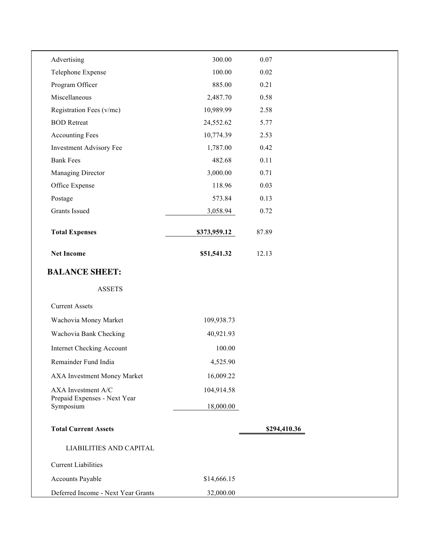| Advertising                               | 300.00       | 0.07         |  |
|-------------------------------------------|--------------|--------------|--|
| Telephone Expense                         | 100.00       | $0.02\,$     |  |
| Program Officer                           | 885.00       | 0.21         |  |
| Miscellaneous                             | 2,487.70     | 0.58         |  |
| Registration Fees (v/mc)                  | 10,989.99    | 2.58         |  |
| <b>BOD</b> Retreat                        | 24,552.62    | 5.77         |  |
| <b>Accounting Fees</b>                    | 10,774.39    | 2.53         |  |
| Investment Advisory Fee                   | 1,787.00     | 0.42         |  |
| <b>Bank Fees</b>                          | 482.68       | 0.11         |  |
| Managing Director                         | 3,000.00     | 0.71         |  |
| Office Expense                            | 118.96       | 0.03         |  |
| Postage                                   | 573.84       | 0.13         |  |
| <b>Grants Issued</b>                      | 3,058.94     | 0.72         |  |
| <b>Total Expenses</b>                     | \$373,959.12 | 87.89        |  |
| <b>Net Income</b>                         | \$51,541.32  | 12.13        |  |
| <b>BALANCE SHEET:</b><br><b>ASSETS</b>    |              |              |  |
| <b>Current Assets</b>                     |              |              |  |
| Wachovia Money Market                     | 109,938.73   |              |  |
| Wachovia Bank Checking                    | 40,921.93    |              |  |
| <b>Internet Checking Account</b>          | 100.00       |              |  |
| Remainder Fund India                      | 4,525.90     |              |  |
| AXA Investment Money Market               | 16,009.22    |              |  |
| AXA Investment A/C                        | 104,914.58   |              |  |
| Prepaid Expenses - Next Year<br>Symposium | 18,000.00    |              |  |
| <b>Total Current Assets</b>               |              | \$294,410.36 |  |
| <b>LIABILITIES AND CAPITAL</b>            |              |              |  |
| <b>Current Liabilities</b>                |              |              |  |
| Accounts Payable                          | \$14,666.15  |              |  |
| Deferred Income - Next Year Grants        | 32,000.00    |              |  |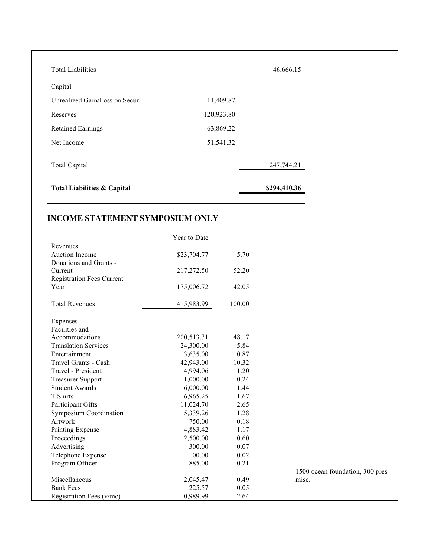| <b>Total Liabilities</b>               |            | 46,666.15    |
|----------------------------------------|------------|--------------|
| Capital                                |            |              |
| Unrealized Gain/Loss on Securi         | 11,409.87  |              |
| Reserves                               | 120,923.80 |              |
| <b>Retained Earnings</b>               | 63,869.22  |              |
| Net Income                             | 51,541.32  |              |
| <b>Total Capital</b>                   |            | 247,744.21   |
| <b>Total Liabilities &amp; Capital</b> |            | \$294,410.36 |

## **INCOME STATEMENT SYMPOSIUM ONLY**

|                                  | Year to Date |        |                                 |
|----------------------------------|--------------|--------|---------------------------------|
| Revenues                         |              |        |                                 |
| <b>Auction Income</b>            | \$23,704.77  | 5.70   |                                 |
| Donations and Grants -           |              |        |                                 |
| Current                          | 217,272.50   | 52.20  |                                 |
| <b>Registration Fees Current</b> |              |        |                                 |
| Year                             | 175,006.72   | 42.05  |                                 |
| <b>Total Revenues</b>            | 415,983.99   | 100.00 |                                 |
| Expenses                         |              |        |                                 |
| Facilities and                   |              |        |                                 |
| Accommodations                   | 200,513.31   | 48.17  |                                 |
| <b>Translation Services</b>      | 24,300.00    | 5.84   |                                 |
| Entertainment                    | 3,635.00     | 0.87   |                                 |
| Travel Grants - Cash             | 42,943.00    | 10.32  |                                 |
| Travel - President               | 4,994.06     | 1.20   |                                 |
| <b>Treasurer Support</b>         | 1,000.00     | 0.24   |                                 |
| <b>Student Awards</b>            | 6,000.00     | 1.44   |                                 |
| T Shirts                         | 6,965.25     | 1.67   |                                 |
| Participant Gifts                | 11,024.70    | 2.65   |                                 |
| <b>Symposium Coordination</b>    | 5,339.26     | 1.28   |                                 |
| Artwork                          | 750.00       | 0.18   |                                 |
| Printing Expense                 | 4,883.42     | 1.17   |                                 |
| Proceedings                      | 2,500.00     | 0.60   |                                 |
| Advertising                      | 300.00       | 0.07   |                                 |
| Telephone Expense                | 100.00       | 0.02   |                                 |
| Program Officer                  | 885.00       | 0.21   |                                 |
|                                  |              |        | 1500 ocean foundation, 300 pres |
| Miscellaneous                    | 2,045.47     | 0.49   | misc.                           |
| <b>Bank Fees</b>                 | 225.57       | 0.05   |                                 |
| Registration Fees (v/mc)         | 10,989.99    | 2.64   |                                 |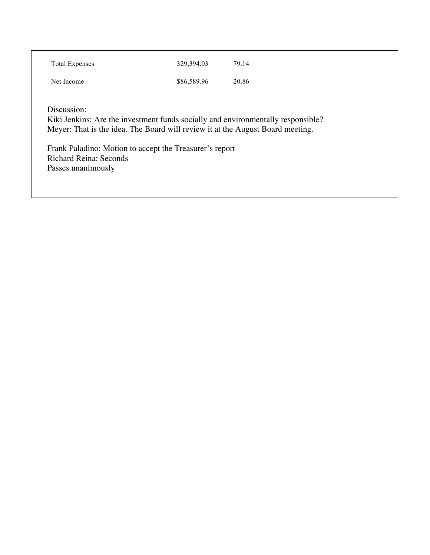| <b>Total Expenses</b>  | 329,394.03                                                                     | 79.14                                                                            |
|------------------------|--------------------------------------------------------------------------------|----------------------------------------------------------------------------------|
| Net Income             | \$86,589.96                                                                    | 20.86                                                                            |
|                        |                                                                                |                                                                                  |
| Discussion:            | Meyer: That is the idea. The Board will review it at the August Board meeting. | Kiki Jenkins: Are the investment funds socially and environmentally responsible? |
| Richard Reina: Seconds | Frank Paladino: Motion to accept the Treasurer's report                        |                                                                                  |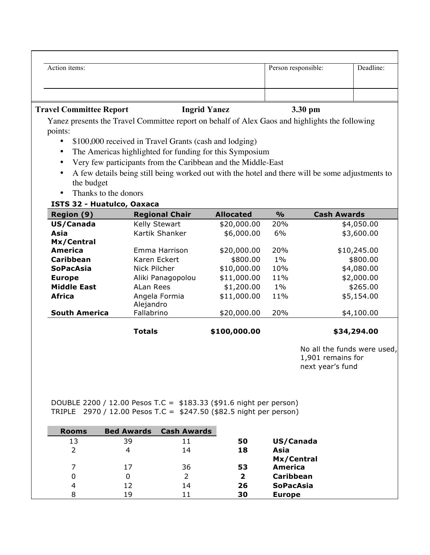| Action items:                            |                                                                                                 |                     | Person responsible: |                    | Deadline: |
|------------------------------------------|-------------------------------------------------------------------------------------------------|---------------------|---------------------|--------------------|-----------|
|                                          |                                                                                                 |                     |                     |                    |           |
| <b>Travel Committee Report</b>           |                                                                                                 | <b>Ingrid Yanez</b> | 3.30 pm             |                    |           |
| points:                                  | Yanez presents the Travel Committee report on behalf of Alex Gaos and highlights the following  |                     |                     |                    |           |
|                                          | \$100,000 received in Travel Grants (cash and lodging)                                          |                     |                     |                    |           |
|                                          | The Americas highlighted for funding for this Symposium                                         |                     |                     |                    |           |
|                                          | Very few participants from the Caribbean and the Middle-East                                    |                     |                     |                    |           |
|                                          | A few details being still being worked out with the hotel and there will be some adjustments to |                     |                     |                    |           |
|                                          |                                                                                                 |                     |                     |                    |           |
|                                          |                                                                                                 |                     |                     |                    |           |
| the budget                               |                                                                                                 |                     |                     |                    |           |
| Thanks to the donors                     |                                                                                                 |                     |                     |                    |           |
| ISTS 32 - Huatulco, Oaxaca<br>Region (9) | <b>Regional Chair</b>                                                                           | <b>Allocated</b>    | $\frac{1}{2}$       | <b>Cash Awards</b> |           |
| US/Canada                                | Kelly Stewart                                                                                   | \$20,000.00         | 20%                 | \$4,050.00         |           |
| Asia                                     | Kartik Shanker                                                                                  | \$6,000.00          | 6%                  | \$3,600.00         |           |
| Mx/Central                               |                                                                                                 |                     |                     |                    |           |
| America                                  | Emma Harrison                                                                                   | \$20,000.00         | 20%                 | \$10,245.00        |           |
| <b>Caribbean</b>                         | Karen Eckert                                                                                    | \$800.00            | $1\%$               | \$800.00           |           |
| <b>SoPacAsia</b>                         | Nick Pilcher                                                                                    | \$10,000.00         | 10%                 | \$4,080.00         |           |
| <b>Europe</b>                            | Aliki Panagopolou                                                                               | \$11,000.00         | 11%                 | \$2,000.00         |           |
| <b>Middle East</b>                       | ALan Rees                                                                                       | \$1,200.00          | $1\%$               | \$265.00           |           |
| <b>Africa</b>                            | Angela Formia<br>Alejandro                                                                      | \$11,000.00         | 11%                 | \$5,154.00         |           |

 $\text{Totals}$  \$100,000.00 \$34,294.00

No all the funds were used, 1,901 remains for next year's fund

DOUBLE 2200 / 12.00 Pesos T.C = \$183.33 (\$91.6 night per person) TRIPLE 2970 / 12.00 Pesos T.C = \$247.50 (\$82.5 night per person)

| <b>Rooms</b> | <b>Bed Awards</b> | <b>Cash Awards</b> |    |                  |
|--------------|-------------------|--------------------|----|------------------|
| 13           | 39                | 11                 | 50 | US/Canada        |
|              |                   | 14                 | 18 | Asia             |
|              |                   |                    |    | Mx/Central       |
| 7            | 17                | 36                 | 53 | <b>America</b>   |
| 0            |                   |                    | 2  | Caribbean        |
| 4            | 12                | 14                 | 26 | <b>SoPacAsia</b> |
| 8            | 19                |                    | 30 | <b>Europe</b>    |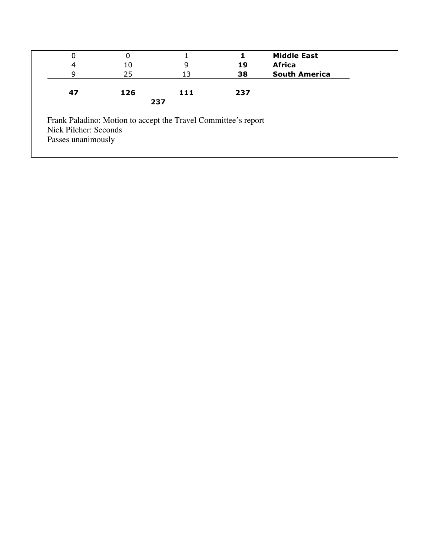| 0                     |     |                                                                |     | <b>Middle East</b>   |
|-----------------------|-----|----------------------------------------------------------------|-----|----------------------|
| 4                     | 10  | 9                                                              | 19  | <b>Africa</b>        |
| 9                     | 25  | 13                                                             | 38  | <b>South America</b> |
| 47                    | 126 | 111                                                            | 237 |                      |
|                       |     | 237                                                            |     |                      |
| Nick Pilcher: Seconds |     | Frank Paladino: Motion to accept the Travel Committee's report |     |                      |
| Passes unanimously    |     |                                                                |     |                      |
|                       |     |                                                                |     |                      |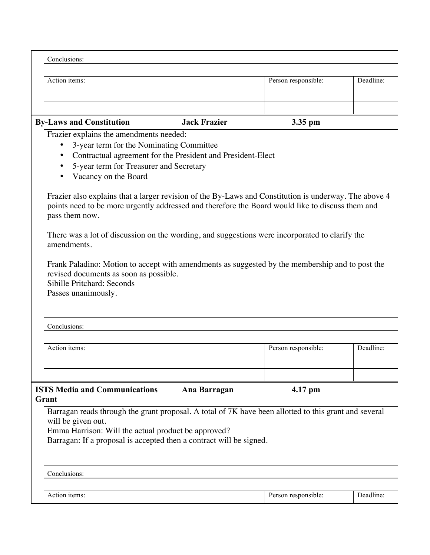| Conclusions:                                                                                                                                                                                                                                                                                                                                                                                                                                                                                                                                                                                                                                                                                                                                                            |                     |           |  |  |
|-------------------------------------------------------------------------------------------------------------------------------------------------------------------------------------------------------------------------------------------------------------------------------------------------------------------------------------------------------------------------------------------------------------------------------------------------------------------------------------------------------------------------------------------------------------------------------------------------------------------------------------------------------------------------------------------------------------------------------------------------------------------------|---------------------|-----------|--|--|
| Action items:                                                                                                                                                                                                                                                                                                                                                                                                                                                                                                                                                                                                                                                                                                                                                           | Person responsible: | Deadline: |  |  |
| <b>By-Laws and Constitution</b><br><b>Jack Frazier</b>                                                                                                                                                                                                                                                                                                                                                                                                                                                                                                                                                                                                                                                                                                                  | 3.35 pm             |           |  |  |
| Frazier explains the amendments needed:<br>3-year term for the Nominating Committee<br>Contractual agreement for the President and President-Elect<br>5-year term for Treasurer and Secretary<br>Vacancy on the Board<br>Frazier also explains that a larger revision of the By-Laws and Constitution is underway. The above 4<br>points need to be more urgently addressed and therefore the Board would like to discuss them and<br>pass them now.<br>There was a lot of discussion on the wording, and suggestions were incorporated to clarify the<br>amendments.<br>Frank Paladino: Motion to accept with amendments as suggested by the membership and to post the<br>revised documents as soon as possible.<br>Sibille Pritchard: Seconds<br>Passes unanimously. |                     |           |  |  |
| Conclusions:                                                                                                                                                                                                                                                                                                                                                                                                                                                                                                                                                                                                                                                                                                                                                            |                     |           |  |  |
| Action items:                                                                                                                                                                                                                                                                                                                                                                                                                                                                                                                                                                                                                                                                                                                                                           | Person responsible: | Deadline: |  |  |
|                                                                                                                                                                                                                                                                                                                                                                                                                                                                                                                                                                                                                                                                                                                                                                         |                     |           |  |  |
| <b>ISTS Media and Communications</b><br>Ana Barragan<br>Grant                                                                                                                                                                                                                                                                                                                                                                                                                                                                                                                                                                                                                                                                                                           | 4.17 pm             |           |  |  |
| Barragan reads through the grant proposal. A total of 7K have been allotted to this grant and several<br>will be given out.<br>Emma Harrison: Will the actual product be approved?<br>Barragan: If a proposal is accepted then a contract will be signed.                                                                                                                                                                                                                                                                                                                                                                                                                                                                                                               |                     |           |  |  |
| Conclusions:                                                                                                                                                                                                                                                                                                                                                                                                                                                                                                                                                                                                                                                                                                                                                            |                     |           |  |  |
| Action items:                                                                                                                                                                                                                                                                                                                                                                                                                                                                                                                                                                                                                                                                                                                                                           | Person responsible: | Deadline: |  |  |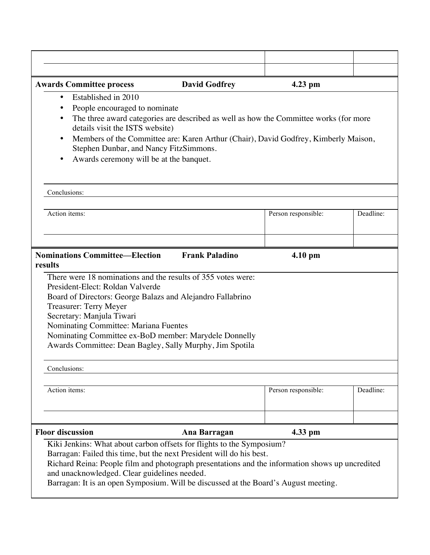| <b>Awards Committee process</b>                                                                                                     | <b>David Godfrey</b>  | 4.23 pm                                                                             |           |  |  |  |
|-------------------------------------------------------------------------------------------------------------------------------------|-----------------------|-------------------------------------------------------------------------------------|-----------|--|--|--|
| Established in 2010<br>٠                                                                                                            |                       |                                                                                     |           |  |  |  |
| People encouraged to nominate                                                                                                       |                       |                                                                                     |           |  |  |  |
| The three award categories are described as well as how the Committee works (for more                                               |                       |                                                                                     |           |  |  |  |
| details visit the ISTS website)                                                                                                     |                       |                                                                                     |           |  |  |  |
|                                                                                                                                     |                       | Members of the Committee are: Karen Arthur (Chair), David Godfrey, Kimberly Maison, |           |  |  |  |
| Stephen Dunbar, and Nancy FitzSimmons.                                                                                              |                       |                                                                                     |           |  |  |  |
| Awards ceremony will be at the banquet.                                                                                             |                       |                                                                                     |           |  |  |  |
|                                                                                                                                     |                       |                                                                                     |           |  |  |  |
|                                                                                                                                     |                       |                                                                                     |           |  |  |  |
| Conclusions:                                                                                                                        |                       |                                                                                     |           |  |  |  |
| Action items:                                                                                                                       |                       | Person responsible:                                                                 | Deadline: |  |  |  |
|                                                                                                                                     |                       |                                                                                     |           |  |  |  |
|                                                                                                                                     |                       |                                                                                     |           |  |  |  |
|                                                                                                                                     |                       |                                                                                     |           |  |  |  |
| <b>Nominations Committee—Election</b>                                                                                               | <b>Frank Paladino</b> | $4.10 \text{ pm}$                                                                   |           |  |  |  |
| results                                                                                                                             |                       |                                                                                     |           |  |  |  |
| There were 18 nominations and the results of 355 votes were:                                                                        |                       |                                                                                     |           |  |  |  |
| President-Elect: Roldan Valverde                                                                                                    |                       |                                                                                     |           |  |  |  |
| Board of Directors: George Balazs and Alejandro Fallabrino                                                                          |                       |                                                                                     |           |  |  |  |
| <b>Treasurer: Terry Meyer</b>                                                                                                       |                       |                                                                                     |           |  |  |  |
| Secretary: Manjula Tiwari<br>Nominating Committee: Mariana Fuentes                                                                  |                       |                                                                                     |           |  |  |  |
| Nominating Committee ex-BoD member: Marydele Donnelly                                                                               |                       |                                                                                     |           |  |  |  |
| Awards Committee: Dean Bagley, Sally Murphy, Jim Spotila                                                                            |                       |                                                                                     |           |  |  |  |
|                                                                                                                                     |                       |                                                                                     |           |  |  |  |
| Conclusions:                                                                                                                        |                       |                                                                                     |           |  |  |  |
|                                                                                                                                     |                       |                                                                                     |           |  |  |  |
| Action items:                                                                                                                       |                       | Person responsible:                                                                 | Deadline: |  |  |  |
|                                                                                                                                     |                       |                                                                                     |           |  |  |  |
|                                                                                                                                     |                       |                                                                                     |           |  |  |  |
|                                                                                                                                     |                       |                                                                                     |           |  |  |  |
| <b>Floor discussion</b>                                                                                                             | Ana Barragan          | 4.33 pm                                                                             |           |  |  |  |
| Kiki Jenkins: What about carbon offsets for flights to the Symposium?                                                               |                       |                                                                                     |           |  |  |  |
| Barragan: Failed this time, but the next President will do his best.                                                                |                       |                                                                                     |           |  |  |  |
| Richard Reina: People film and photograph presentations and the information shows up uncredited                                     |                       |                                                                                     |           |  |  |  |
| and unacknowledged. Clear guidelines needed.<br>Barragan: It is an open Symposium. Will be discussed at the Board's August meeting. |                       |                                                                                     |           |  |  |  |
|                                                                                                                                     |                       |                                                                                     |           |  |  |  |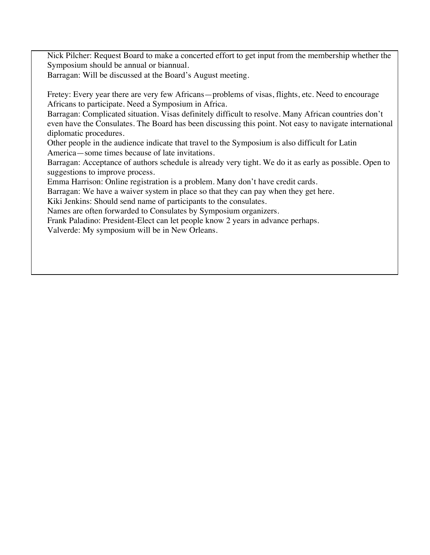Nick Pilcher: Request Board to make a concerted effort to get input from the membership whether the Symposium should be annual or biannual.

Barragan: Will be discussed at the Board's August meeting.

Fretey: Every year there are very few Africans—problems of visas, flights, etc. Need to encourage Africans to participate. Need a Symposium in Africa.

Barragan: Complicated situation. Visas definitely difficult to resolve. Many African countries don't even have the Consulates. The Board has been discussing this point. Not easy to navigate international diplomatic procedures.

Other people in the audience indicate that travel to the Symposium is also difficult for Latin America—some times because of late invitations.

Barragan: Acceptance of authors schedule is already very tight. We do it as early as possible. Open to suggestions to improve process.

Emma Harrison: Online registration is a problem. Many don't have credit cards.

Barragan: We have a waiver system in place so that they can pay when they get here.

Kiki Jenkins: Should send name of participants to the consulates.

Names are often forwarded to Consulates by Symposium organizers.

Frank Paladino: President-Elect can let people know 2 years in advance perhaps.

Valverde: My symposium will be in New Orleans.